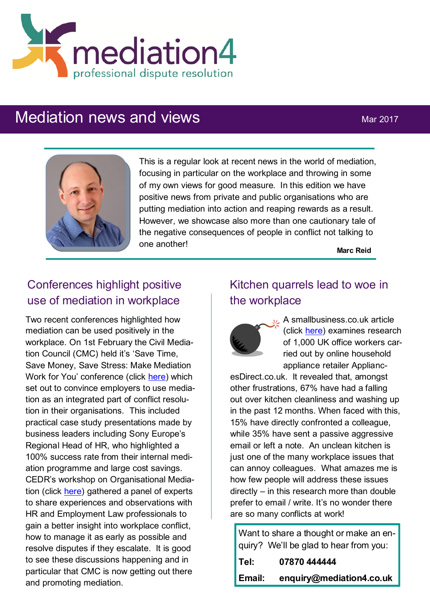

# Mediation news and views Mar 2017



This is a regular look at recent news in the world of mediation, focusing in particular on the workplace and throwing in some of my own views for good measure. In this edition we have positive news from private and public organisations who are putting mediation into action and reaping rewards as a result. However, we showcase also more than one cautionary tale of the negative consequences of people in conflict not talking to one another!

**Marc Reid**

## Conferences highlight positive use of mediation in workplace

Two recent conferences highlighted how mediation can be used positively in the workplace. On 1st February the Civil Mediation Council (CMC) held it's 'Save Time, Save Money, Save Stress: Make Mediation Work for You' conference (click [here\)](http://www.personneltoday.com/pr/2017/02/cmc-conference-demonstrates-mediation-is-a-real-life-solution-for-workplace-conflicts/) which set out to convince employers to use mediation as an integrated part of conflict resolution in their organisations. This included practical case study presentations made by business leaders including Sony Europe's Regional Head of HR, who highlighted a 100% success rate from their internal mediation programme and large cost savings. CEDR's workshop on Organisational Mediation (click [here\)](https://www.cedr.com/blog/organisational-mediation-weeding-out-conflict/) gathered a panel of experts to share experiences and observations with HR and Employment Law professionals to gain a better insight into workplace conflict, how to manage it as early as possible and resolve disputes if they escalate. It is good to see these discussions happening and in particular that CMC is now getting out there and promoting mediation.

### Kitchen quarrels lead to woe in the workplace



L. A smallbusiness.co.uk article (click [here\)](http://smallbusiness.co.uk/kitchen-quarrels-workplace-warfare-2537507/) examines research of 1,000 UK office workers carried out by online household appliance retailer Applianc-

esDirect.co.uk. It revealed that, amongst other frustrations, 67% have had a falling out over kitchen cleanliness and washing up in the past 12 months. When faced with this, 15% have directly confronted a colleague, while 35% have sent a passive aggressive email or left a note. An unclean kitchen is just one of the many workplace issues that can annoy colleagues. What amazes me is how few people will address these issues directly – in this research more than double prefer to email / write. It's no wonder there are so many conflicts at work!

Want to share a thought or make an enquiry? We'll be glad to hear from you:

| Tel:   | 07870 444444             |
|--------|--------------------------|
| Email: | enquiry@mediation4.co.uk |